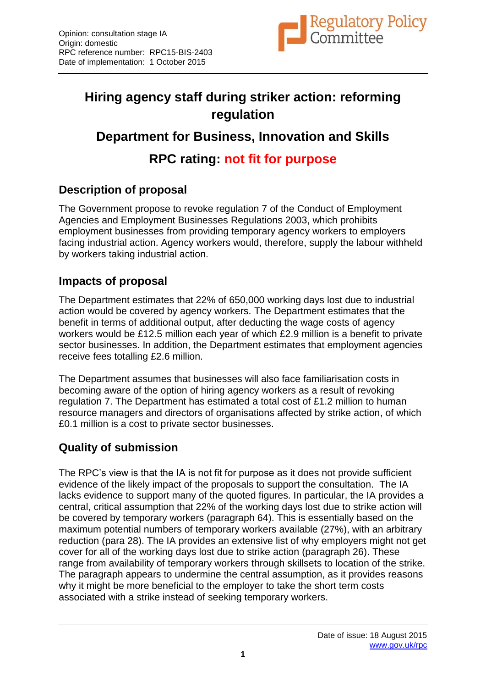

# **Hiring agency staff during striker action: reforming regulation**

## **Department for Business, Innovation and Skills**

## **RPC rating: not fit for purpose**

### **Description of proposal**

The Government propose to revoke regulation 7 of the Conduct of Employment Agencies and Employment Businesses Regulations 2003, which prohibits employment businesses from providing temporary agency workers to employers facing industrial action. Agency workers would, therefore, supply the labour withheld by workers taking industrial action.

#### **Impacts of proposal**

The Department estimates that 22% of 650,000 working days lost due to industrial action would be covered by agency workers. The Department estimates that the benefit in terms of additional output, after deducting the wage costs of agency workers would be £12.5 million each year of which £2.9 million is a benefit to private sector businesses. In addition, the Department estimates that employment agencies receive fees totalling £2.6 million.

The Department assumes that businesses will also face familiarisation costs in becoming aware of the option of hiring agency workers as a result of revoking regulation 7. The Department has estimated a total cost of £1.2 million to human resource managers and directors of organisations affected by strike action, of which £0.1 million is a cost to private sector businesses.

#### **Quality of submission**

The RPC's view is that the IA is not fit for purpose as it does not provide sufficient evidence of the likely impact of the proposals to support the consultation. The IA lacks evidence to support many of the quoted figures. In particular, the IA provides a central, critical assumption that 22% of the working days lost due to strike action will be covered by temporary workers (paragraph 64). This is essentially based on the maximum potential numbers of temporary workers available (27%), with an arbitrary reduction (para 28). The IA provides an extensive list of why employers might not get cover for all of the working days lost due to strike action (paragraph 26). These range from availability of temporary workers through skillsets to location of the strike. The paragraph appears to undermine the central assumption, as it provides reasons why it might be more beneficial to the employer to take the short term costs associated with a strike instead of seeking temporary workers.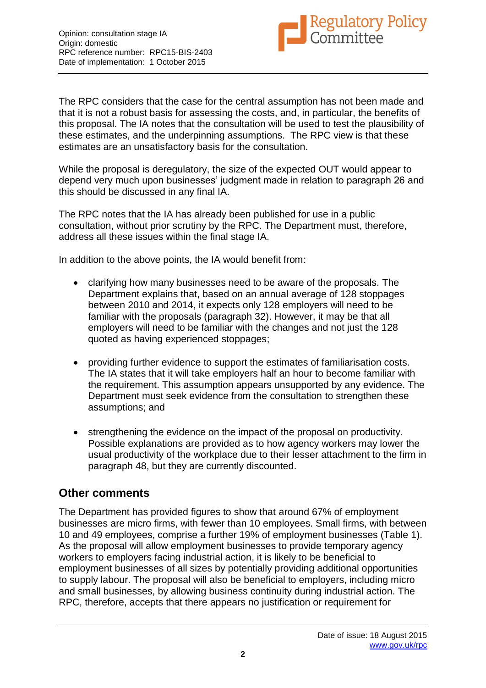

The RPC considers that the case for the central assumption has not been made and that it is not a robust basis for assessing the costs, and, in particular, the benefits of this proposal. The IA notes that the consultation will be used to test the plausibility of these estimates, and the underpinning assumptions. The RPC view is that these estimates are an unsatisfactory basis for the consultation.

While the proposal is deregulatory, the size of the expected OUT would appear to depend very much upon businesses' judgment made in relation to paragraph 26 and this should be discussed in any final IA.

The RPC notes that the IA has already been published for use in a public consultation, without prior scrutiny by the RPC. The Department must, therefore, address all these issues within the final stage IA.

In addition to the above points, the IA would benefit from:

- clarifying how many businesses need to be aware of the proposals. The Department explains that, based on an annual average of 128 stoppages between 2010 and 2014, it expects only 128 employers will need to be familiar with the proposals (paragraph 32). However, it may be that all employers will need to be familiar with the changes and not just the 128 quoted as having experienced stoppages;
- providing further evidence to support the estimates of familiarisation costs. The IA states that it will take employers half an hour to become familiar with the requirement. This assumption appears unsupported by any evidence. The Department must seek evidence from the consultation to strengthen these assumptions; and
- strengthening the evidence on the impact of the proposal on productivity. Possible explanations are provided as to how agency workers may lower the usual productivity of the workplace due to their lesser attachment to the firm in paragraph 48, but they are currently discounted.

#### **Other comments**

The Department has provided figures to show that around 67% of employment businesses are micro firms, with fewer than 10 employees. Small firms, with between 10 and 49 employees, comprise a further 19% of employment businesses (Table 1). As the proposal will allow employment businesses to provide temporary agency workers to employers facing industrial action, it is likely to be beneficial to employment businesses of all sizes by potentially providing additional opportunities to supply labour. The proposal will also be beneficial to employers, including micro and small businesses, by allowing business continuity during industrial action. The RPC, therefore, accepts that there appears no justification or requirement for